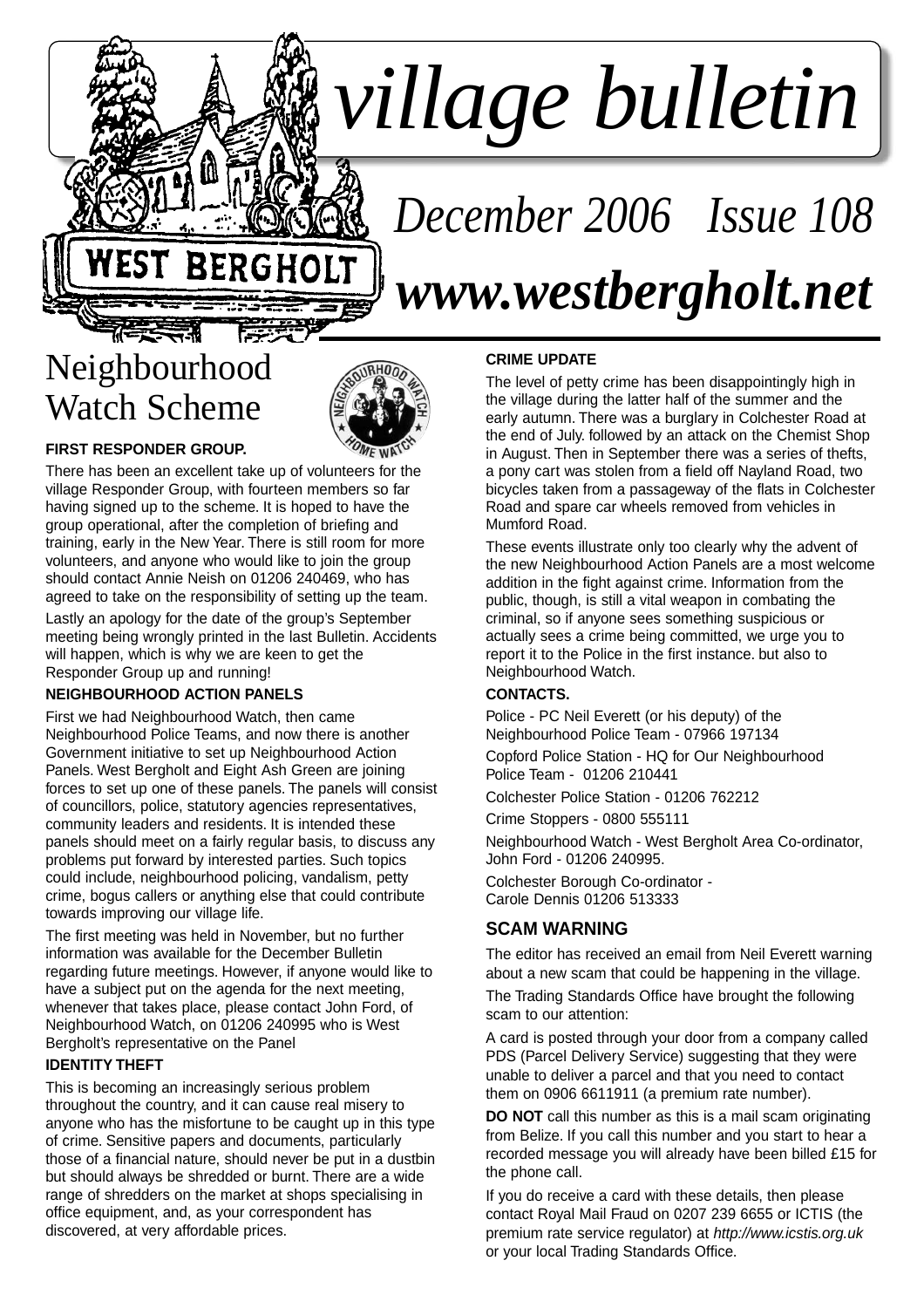# *village bulletin*

# *December 2006 Issue 108 www.westbergholt.net*

# Neighbourhood Watch Scheme



#### **FIRST RESPONDER GROUP.**

There has been an excellent take up of volunteers for the village Responder Group, with fourteen members so far having signed up to the scheme. It is hoped to have the group operational, after the completion of briefing and training, early in the New Year. There is still room for more volunteers, and anyone who would like to join the group should contact Annie Neish on 01206 240469, who has agreed to take on the responsibility of setting up the team.

Lastly an apology for the date of the group's September meeting being wrongly printed in the last Bulletin. Accidents will happen, which is why we are keen to get the Responder Group up and running!

#### **NEIGHBOURHOOD ACTION PANELS**

First we had Neighbourhood Watch, then came Neighbourhood Police Teams, and now there is another Government initiative to set up Neighbourhood Action Panels. West Bergholt and Eight Ash Green are joining forces to set up one of these panels. The panels will consist of councillors, police, statutory agencies representatives, community leaders and residents. It is intended these panels should meet on a fairly regular basis, to discuss any problems put forward by interested parties. Such topics could include, neighbourhood policing, vandalism, petty crime, bogus callers or anything else that could contribute towards improving our village life.

The first meeting was held in November, but no further information was available for the December Bulletin regarding future meetings. However, if anyone would like to have a subject put on the agenda for the next meeting, whenever that takes place, please contact John Ford, of Neighbourhood Watch, on 01206 240995 who is West Bergholt's representative on the Panel

#### **IDENTITY THEFT**

This is becoming an increasingly serious problem throughout the country, and it can cause real misery to anyone who has the misfortune to be caught up in this type of crime. Sensitive papers and documents, particularly those of a financial nature, should never be put in a dustbin but should always be shredded or burnt. There are a wide range of shredders on the market at shops specialising in office equipment, and, as your correspondent has discovered, at very affordable prices.

#### **CRIME UPDATE**

The level of petty crime has been disappointingly high in the village during the latter half of the summer and the early autumn. There was a burglary in Colchester Road at the end of July. followed by an attack on the Chemist Shop in August. Then in September there was a series of thefts, a pony cart was stolen from a field off Nayland Road, two bicycles taken from a passageway of the flats in Colchester Road and spare car wheels removed from vehicles in Mumford Road.

These events illustrate only too clearly why the advent of the new Neighbourhood Action Panels are a most welcome addition in the fight against crime. Information from the public, though, is still a vital weapon in combating the criminal, so if anyone sees something suspicious or actually sees a crime being committed, we urge you to report it to the Police in the first instance. but also to Neighbourhood Watch.

#### **CONTACTS.**

Police - PC Neil Everett (or his deputy) of the Neighbourhood Police Team - 07966 197134

Copford Police Station - HQ for Our Neighbourhood Police Team - 01206 210441

Colchester Police Station - 01206 762212

Crime Stoppers - 0800 555111

Neighbourhood Watch - West Bergholt Area Co-ordinator, John Ford - 01206 240995.

Colchester Borough Co-ordinator - Carole Dennis 01206 513333

#### **SCAM WARNING**

The editor has received an email from Neil Everett warning about a new scam that could be happening in the village.

The Trading Standards Office have brought the following scam to our attention:

A card is posted through your door from a company called PDS (Parcel Delivery Service) suggesting that they were unable to deliver a parcel and that you need to contact them on 0906 6611911 (a premium rate number).

**DO NOT** call this number as this is a mail scam originating from Belize. If you call this number and you start to hear a recorded message you will already have been billed £15 for the phone call.

If you do receive a card with these details, then please contact Royal Mail Fraud on 0207 239 6655 or ICTIS (the premium rate service regulator) at http://www.icstis.org.uk or your local Trading Standards Office.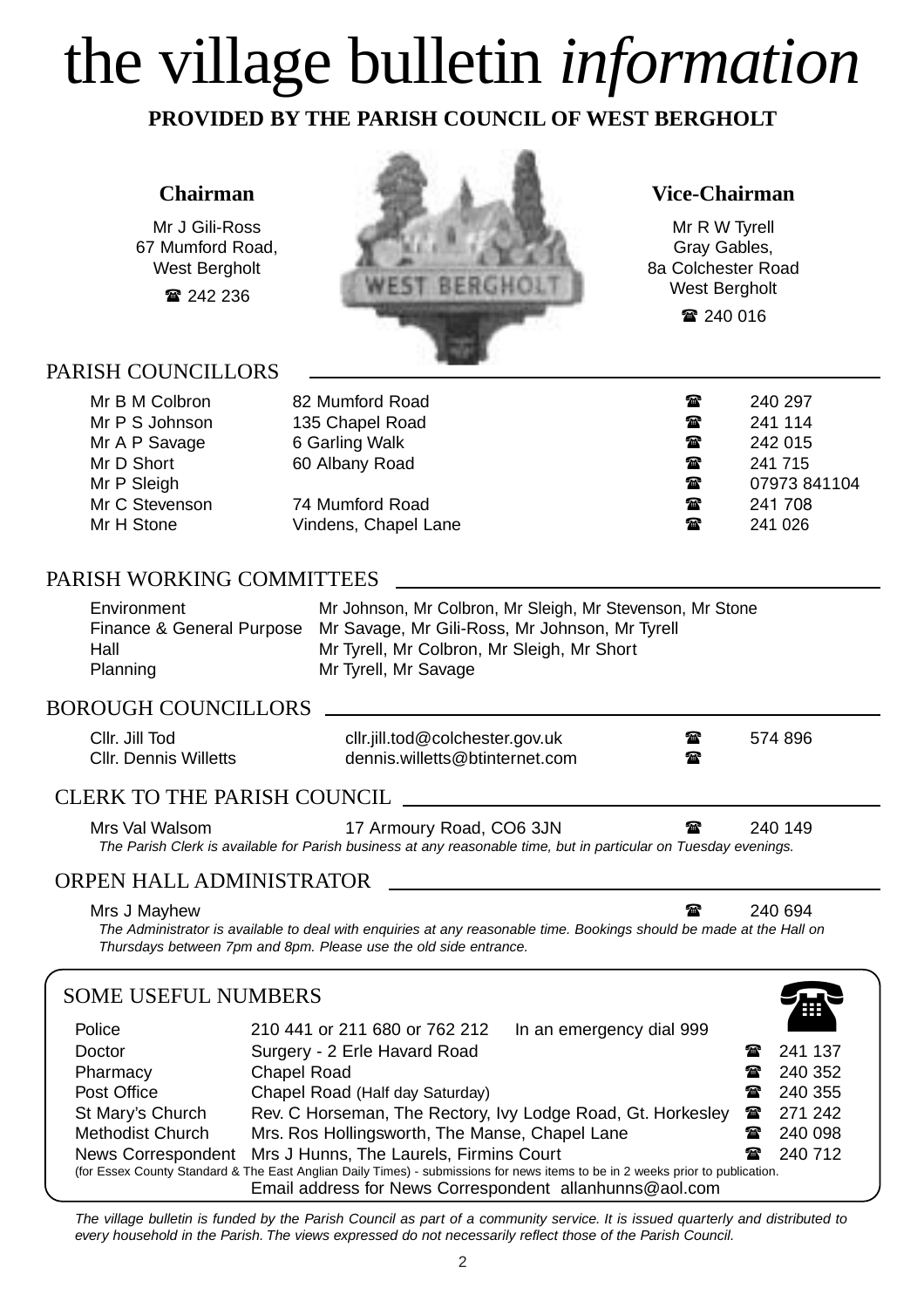# the village bulletin *information*

**PROVIDED BY THE PARISH COUNCIL OF WEST BERGHOLT**

#### **Chairman**

Mr J Gili-Ross 67 Mumford Road, West Bergholt

242 236



#### **Vice-Chairman**

Mr R W Tyrell Gray Gables, 8a Colchester Road West Bergholt 240 016

#### PARISH COUNCILLORS

| Mr B M Colbron | 82 Mumford Road      | $\mathbf{r}$ | 240 297      |
|----------------|----------------------|--------------|--------------|
| Mr P S Johnson | 135 Chapel Road      | $\mathbf{r}$ | 241 114      |
| Mr A P Savage  | 6 Garling Walk       | $\mathbf{r}$ | 242 015      |
| Mr D Short     | 60 Albany Road       | $\mathbf{r}$ | 241 715      |
| Mr P Sleigh    |                      | $\mathbf{r}$ | 07973 841104 |
| Mr C Stevenson | 74 Mumford Road      | $\mathbf{r}$ | 241 708      |
| Mr H Stone     | Vindens, Chapel Lane | $\mathbf{r}$ | 241 026      |

#### PARISH WORKING COMMITTEES

| Environment | Mr Johnson, Mr Colbron, Mr Sleigh, Mr Stevenson, Mr Stone                |
|-------------|--------------------------------------------------------------------------|
|             | Finance & General Purpose Mr Savage, Mr Gili-Ross, Mr Johnson, Mr Tyrell |
| Hall        | Mr Tyrell, Mr Colbron, Mr Sleigh, Mr Short                               |
| Planning    | Mr Tyrell, Mr Savage                                                     |

#### BOROUGH COUNCILLORS

| Cllr. Jill Tod<br>Cllr. Dennis Willetts | cllr.jill.tod@colchester.gov.uk<br>dennis.willetts@btinternet.com | ☎<br>☎ | 574 896 |  |
|-----------------------------------------|-------------------------------------------------------------------|--------|---------|--|
| CLERK TO THE PARISH COUNCIL             |                                                                   |        |         |  |

#### CLERK TO THE PARISH COUNCIL

Mrs Val Walsom **17 Armoury Road, CO6 3JN 149** 240 149 The Parish Clerk is available for Parish business at any reasonable time, but in particular on Tuesday evenings.

#### ORPEN HALL ADMINISTRATOR

Mrs J Mayhew  $\sim$  240 694 The Administrator is available to deal with enquiries at any reasonable time. Bookings should be made at the Hall on Thursdays between 7pm and 8pm. Please use the old side entrance.

#### SOME USEFUL NUMBERS Police 210 441 or 211 680 or 762 212 In an emergency dial 999 Doctor **Surgery - 2 Erle Havard Road 241 137** Pharmacy Chapel Road **240 352** Post Office **Chapel Road (Half day Saturday)** 240 355 St Mary's Church Rev. C Horseman, The Rectory, Ivy Lodge Road, Gt. Horkesley  $\approx$  271 242 Methodist Church Mrs. Ros Hollingsworth, The Manse, Chapel Lane **18 240 098** News Correspondent Mrs J Hunns, The Laurels, Firmins Court **240 712** 240 712 (for Essex County Standard & The East Anglian Daily Times) - submissions for news items to be in 2 weeks prior to publication. Email address for News Correspondent allanhunns@aol.com 1

The village bulletin is funded by the Parish Council as part of a community service. It is issued quarterly and distributed to every household in the Parish. The views expressed do not necessarily reflect those of the Parish Council.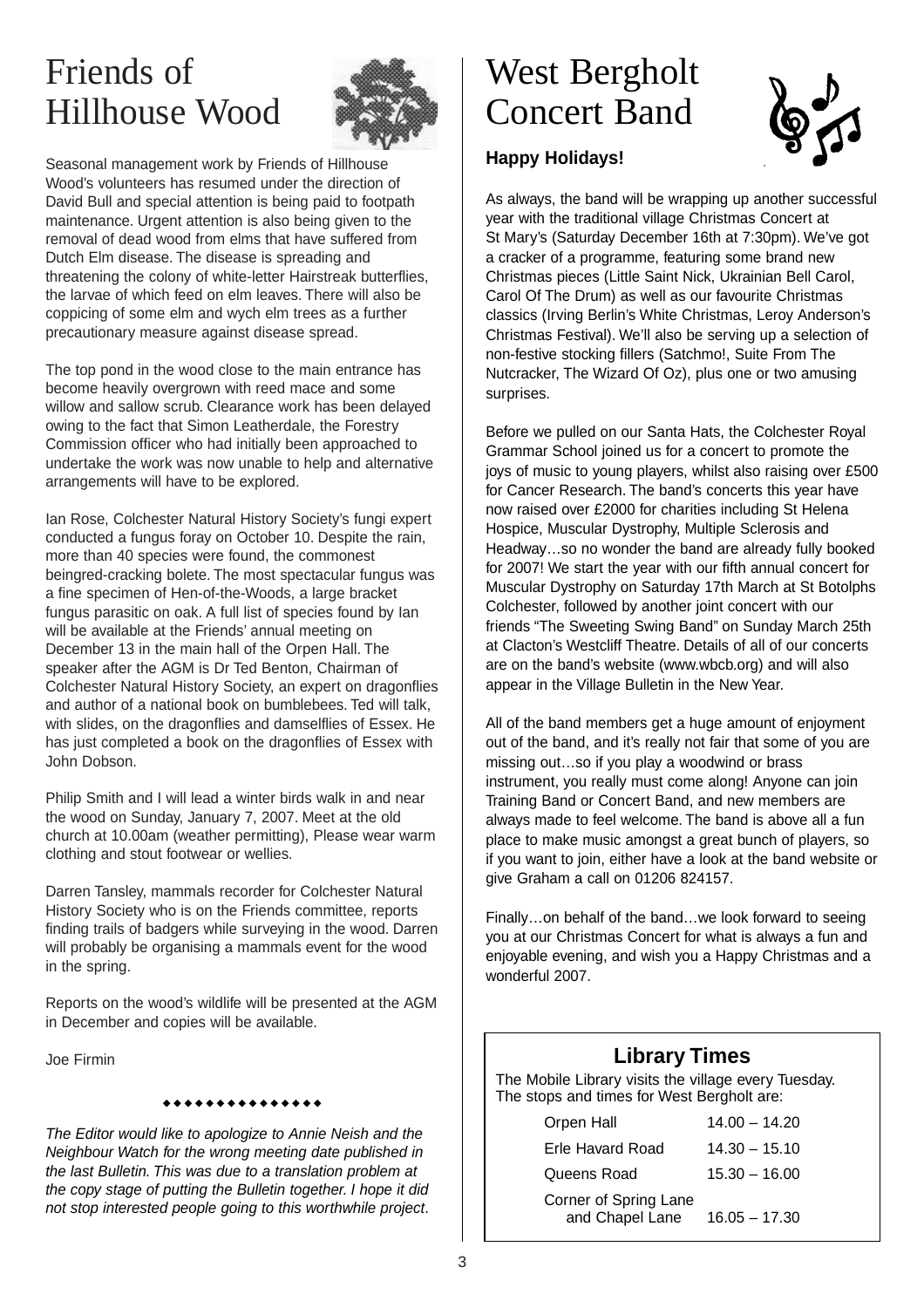## Friends of Hillhouse Wood



Seasonal management work by Friends of Hillhouse Wood's volunteers has resumed under the direction of David Bull and special attention is being paid to footpath maintenance. Urgent attention is also being given to the removal of dead wood from elms that have suffered from Dutch Elm disease. The disease is spreading and threatening the colony of white-letter Hairstreak butterflies, the larvae of which feed on elm leaves. There will also be coppicing of some elm and wych elm trees as a further precautionary measure against disease spread.

The top pond in the wood close to the main entrance has become heavily overgrown with reed mace and some willow and sallow scrub. Clearance work has been delayed owing to the fact that Simon Leatherdale, the Forestry Commission officer who had initially been approached to undertake the work was now unable to help and alternative arrangements will have to be explored.

Ian Rose, Colchester Natural History Society's fungi expert conducted a fungus foray on October 10. Despite the rain, more than 40 species were found, the commonest beingred-cracking bolete. The most spectacular fungus was a fine specimen of Hen-of-the-Woods, a large bracket fungus parasitic on oak. A full list of species found by Ian will be available at the Friends' annual meeting on December 13 in the main hall of the Orpen Hall. The speaker after the AGM is Dr Ted Benton, Chairman of Colchester Natural History Society, an expert on dragonflies and author of a national book on bumblebees. Ted will talk, with slides, on the dragonflies and damselflies of Essex. He has just completed a book on the dragonflies of Essex with John Dobson.

Philip Smith and I will lead a winter birds walk in and near the wood on Sunday, January 7, 2007. Meet at the old church at 10.00am (weather permitting), Please wear warm clothing and stout footwear or wellies.

Darren Tansley, mammals recorder for Colchester Natural History Society who is on the Friends committee, reports finding trails of badgers while surveying in the wood. Darren will probably be organising a mammals event for the wood in the spring.

Reports on the wood's wildlife will be presented at the AGM in December and copies will be available.

Joe Firmin

#### \*\*\*\*\*\*\*\*\*\*\*\*\*

The Editor would like to apologize to Annie Neish and the Neighbour Watch for the wrong meeting date published in the last Bulletin. This was due to a translation problem at the copy stage of putting the Bulletin together. I hope it did not stop interested people going to this worthwhile project.

### West Bergholt Concert Band



#### **Happy Holidays!**

As always, the band will be wrapping up another successful year with the traditional village Christmas Concert at St Mary's (Saturday December 16th at 7:30pm). We've got a cracker of a programme, featuring some brand new Christmas pieces (Little Saint Nick, Ukrainian Bell Carol, Carol Of The Drum) as well as our favourite Christmas classics (Irving Berlin's White Christmas, Leroy Anderson's Christmas Festival). We'll also be serving up a selection of non-festive stocking fillers (Satchmo!, Suite From The Nutcracker, The Wizard Of Oz), plus one or two amusing surprises.

Before we pulled on our Santa Hats, the Colchester Royal Grammar School joined us for a concert to promote the joys of music to young players, whilst also raising over £500 for Cancer Research. The band's concerts this year have now raised over £2000 for charities including St Helena Hospice, Muscular Dystrophy, Multiple Sclerosis and Headway…so no wonder the band are already fully booked for 2007! We start the year with our fifth annual concert for Muscular Dystrophy on Saturday 17th March at St Botolphs Colchester, followed by another joint concert with our friends "The Sweeting Swing Band" on Sunday March 25th at Clacton's Westcliff Theatre. Details of all of our concerts are on the band's website (www.wbcb.org) and will also appear in the Village Bulletin in the New Year.

All of the band members get a huge amount of enjoyment out of the band, and it's really not fair that some of you are missing out…so if you play a woodwind or brass instrument, you really must come along! Anyone can join Training Band or Concert Band, and new members are always made to feel welcome. The band is above all a fun place to make music amongst a great bunch of players, so if you want to join, either have a look at the band website or give Graham a call on 01206 824157.

Finally…on behalf of the band…we look forward to seeing you at our Christmas Concert for what is always a fun and enjoyable evening, and wish you a Happy Christmas and a wonderful 2007.

#### **Library Times**

The Mobile Library visits the village every Tuesday. The stops and times for West Bergholt are:

| Orpen Hall                               | $14.00 - 14.20$ |
|------------------------------------------|-----------------|
| Erle Havard Road                         | $14.30 - 15.10$ |
| Queens Road                              | $15.30 - 16.00$ |
| Corner of Spring Lane<br>and Chapel Lane | $16.05 - 17.30$ |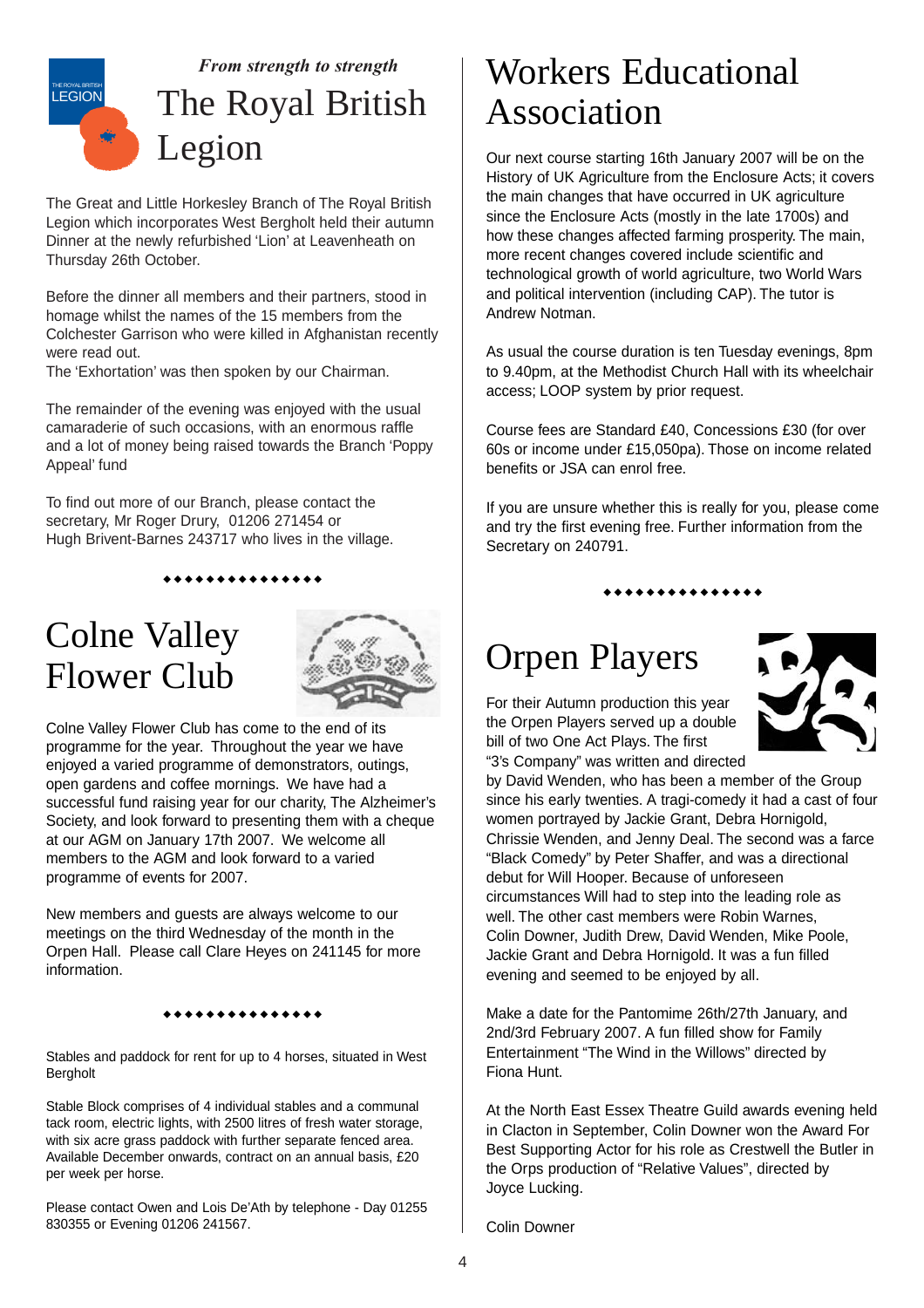

The Great and Little Horkesley Branch of The Royal British Legion which incorporates West Bergholt held their autumn Dinner at the newly refurbished 'Lion' at Leavenheath on Thursday 26th October.

Before the dinner all members and their partners, stood in homage whilst the names of the 15 members from the Colchester Garrison who were killed in Afghanistan recently were read out.

The 'Exhortation' was then spoken by our Chairman.

The remainder of the evening was enjoyed with the usual camaraderie of such occasions, with an enormous raffle and a lot of money being raised towards the Branch 'Poppy Appeal' fund

To find out more of our Branch, please contact the secretary, Mr Roger Drury, 01206 271454 or Hugh Brivent-Barnes 243717 who lives in the village.

#### \*\*\*\*\*\*\*\*\*\*\*\*\*

### Colne Valley Flower Club



Colne Valley Flower Club has come to the end of its programme for the year. Throughout the year we have enjoyed a varied programme of demonstrators, outings, open gardens and coffee mornings. We have had a successful fund raising year for our charity, The Alzheimer's Society, and look forward to presenting them with a cheque at our AGM on January 17th 2007. We welcome all members to the AGM and look forward to a varied programme of events for 2007.

New members and guests are always welcome to our meetings on the third Wednesday of the month in the Orpen Hall. Please call Clare Heyes on 241145 for more information.

#### \*\*\*\*\*\*\*\*\*\*\*\*\*

Stables and paddock for rent for up to 4 horses, situated in West Bergholt

Stable Block comprises of 4 individual stables and a communal tack room, electric lights, with 2500 litres of fresh water storage, with six acre grass paddock with further separate fenced area. Available December onwards, contract on an annual basis, £20 per week per horse.

Please contact Owen and Lois De'Ath by telephone - Day 01255 830355 or Evening 01206 241567.

### Workers Educational Association

Our next course starting 16th January 2007 will be on the History of UK Agriculture from the Enclosure Acts; it covers the main changes that have occurred in UK agriculture since the Enclosure Acts (mostly in the late 1700s) and how these changes affected farming prosperity. The main, more recent changes covered include scientific and technological growth of world agriculture, two World Wars and political intervention (including CAP). The tutor is Andrew Notman.

As usual the course duration is ten Tuesday evenings, 8pm to 9.40pm, at the Methodist Church Hall with its wheelchair access; LOOP system by prior request.

Course fees are Standard £40, Concessions £30 (for over 60s or income under £15,050pa). Those on income related benefits or JSA can enrol free.

If you are unsure whether this is really for you, please come and try the first evening free. Further information from the Secretary on 240791.

\*\*\*\*\*\*\*\*\*\*\*\*\*

### Orpen Players

For their Autumn production this year the Orpen Players served up a double bill of two One Act Plays. The first "3's Company" was written and directed



by David Wenden, who has been a member of the Group since his early twenties. A tragi-comedy it had a cast of four women portrayed by Jackie Grant, Debra Hornigold, Chrissie Wenden, and Jenny Deal. The second was a farce "Black Comedy" by Peter Shaffer, and was a directional debut for Will Hooper. Because of unforeseen circumstances Will had to step into the leading role as well. The other cast members were Robin Warnes, Colin Downer, Judith Drew, David Wenden, Mike Poole, Jackie Grant and Debra Hornigold. It was a fun filled evening and seemed to be enjoyed by all.

Make a date for the Pantomime 26th/27th January, and 2nd/3rd February 2007. A fun filled show for Family Entertainment "The Wind in the Willows" directed by Fiona Hunt.

At the North East Essex Theatre Guild awards evening held in Clacton in September, Colin Downer won the Award For Best Supporting Actor for his role as Crestwell the Butler in the Orps production of "Relative Values", directed by Joyce Lucking.

Colin Downer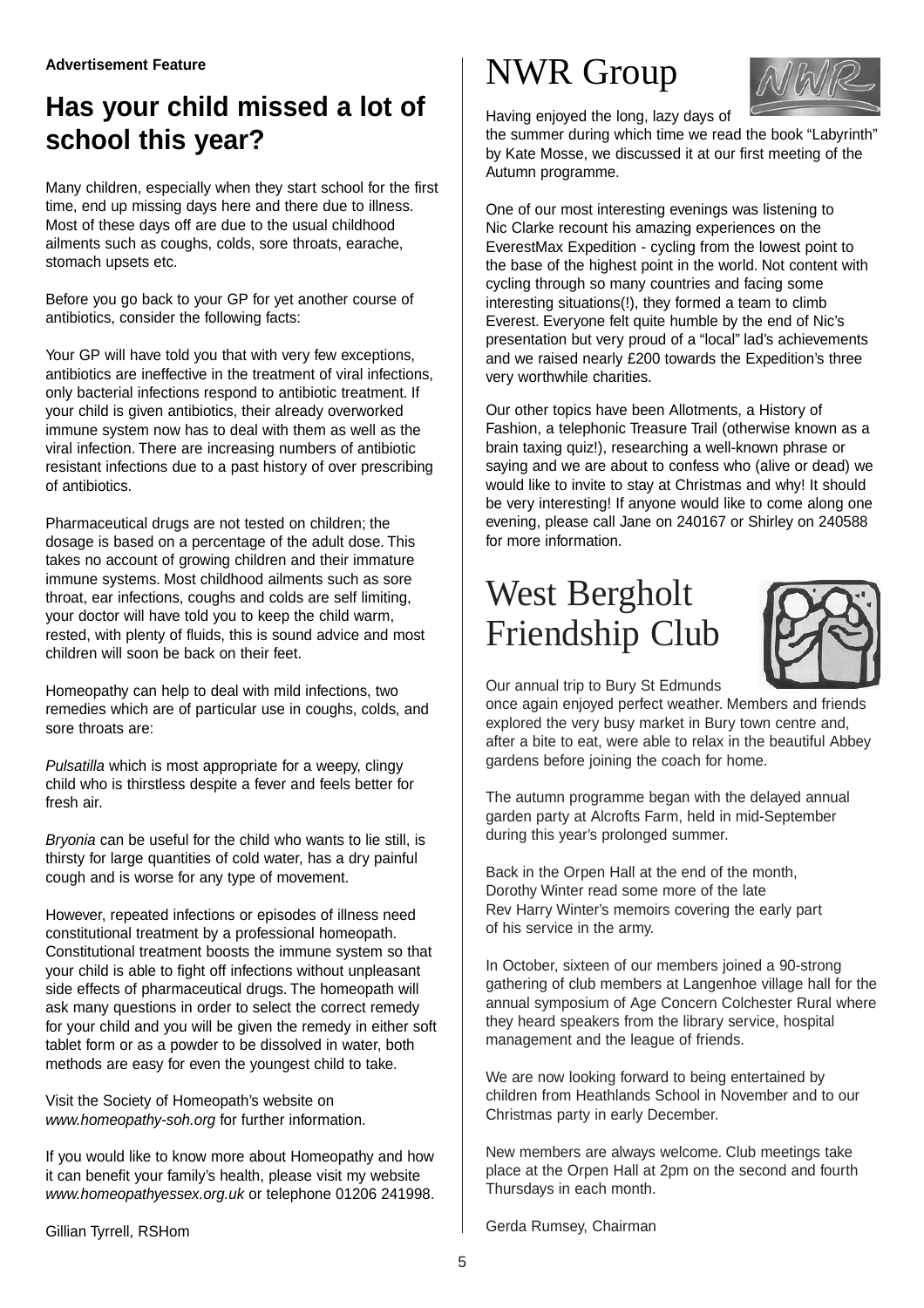### **Has your child missed a lot of school this year?**

Many children, especially when they start school for the first time, end up missing days here and there due to illness. Most of these days off are due to the usual childhood ailments such as coughs, colds, sore throats, earache, stomach upsets etc.

Before you go back to your GP for yet another course of antibiotics, consider the following facts:

Your GP will have told you that with very few exceptions, antibiotics are ineffective in the treatment of viral infections, only bacterial infections respond to antibiotic treatment. If your child is given antibiotics, their already overworked immune system now has to deal with them as well as the viral infection. There are increasing numbers of antibiotic resistant infections due to a past history of over prescribing of antibiotics.

Pharmaceutical drugs are not tested on children; the dosage is based on a percentage of the adult dose. This takes no account of growing children and their immature immune systems. Most childhood ailments such as sore throat, ear infections, coughs and colds are self limiting, your doctor will have told you to keep the child warm, rested, with plenty of fluids, this is sound advice and most children will soon be back on their feet.

Homeopathy can help to deal with mild infections, two remedies which are of particular use in coughs, colds, and sore throats are:

Pulsatilla which is most appropriate for a weepy, clingy child who is thirstless despite a fever and feels better for fresh air.

Bryonia can be useful for the child who wants to lie still, is thirsty for large quantities of cold water, has a dry painful cough and is worse for any type of movement.

However, repeated infections or episodes of illness need constitutional treatment by a professional homeopath. Constitutional treatment boosts the immune system so that your child is able to fight off infections without unpleasant side effects of pharmaceutical drugs. The homeopath will ask many questions in order to select the correct remedy for your child and you will be given the remedy in either soft tablet form or as a powder to be dissolved in water, both methods are easy for even the youngest child to take.

Visit the Society of Homeopath's website on www.homeopathy-soh.org for further information.

If you would like to know more about Homeopathy and how it can benefit your family's health, please visit my website www.homeopathyessex.org.uk or telephone 01206 241998.

Gillian Tyrrell, RSHom

### NWR Group



Having enjoyed the long, lazy days of

the summer during which time we read the book "Labyrinth" by Kate Mosse, we discussed it at our first meeting of the Autumn programme.

One of our most interesting evenings was listening to Nic Clarke recount his amazing experiences on the EverestMax Expedition - cycling from the lowest point to the base of the highest point in the world. Not content with cycling through so many countries and facing some interesting situations(!), they formed a team to climb Everest. Everyone felt quite humble by the end of Nic's presentation but very proud of a "local" lad's achievements and we raised nearly £200 towards the Expedition's three very worthwhile charities.

Our other topics have been Allotments, a History of Fashion, a telephonic Treasure Trail (otherwise known as a brain taxing quiz!), researching a well-known phrase or saying and we are about to confess who (alive or dead) we would like to invite to stay at Christmas and why! It should be very interesting! If anyone would like to come along one evening, please call Jane on 240167 or Shirley on 240588 for more information.

## West Bergholt Friendship Club



Our annual trip to Bury St Edmunds

once again enjoyed perfect weather. Members and friends explored the very busy market in Bury town centre and, after a bite to eat, were able to relax in the beautiful Abbey gardens before joining the coach for home.

The autumn programme began with the delayed annual garden party at Alcrofts Farm, held in mid-September during this year's prolonged summer.

Back in the Orpen Hall at the end of the month, Dorothy Winter read some more of the late Rev Harry Winter's memoirs covering the early part of his service in the army.

In October, sixteen of our members joined a 90-strong gathering of club members at Langenhoe village hall for the annual symposium of Age Concern Colchester Rural where they heard speakers from the library service, hospital management and the league of friends.

We are now looking forward to being entertained by children from Heathlands School in November and to our Christmas party in early December.

New members are always welcome. Club meetings take place at the Orpen Hall at 2pm on the second and fourth Thursdays in each month.

Gerda Rumsey, Chairman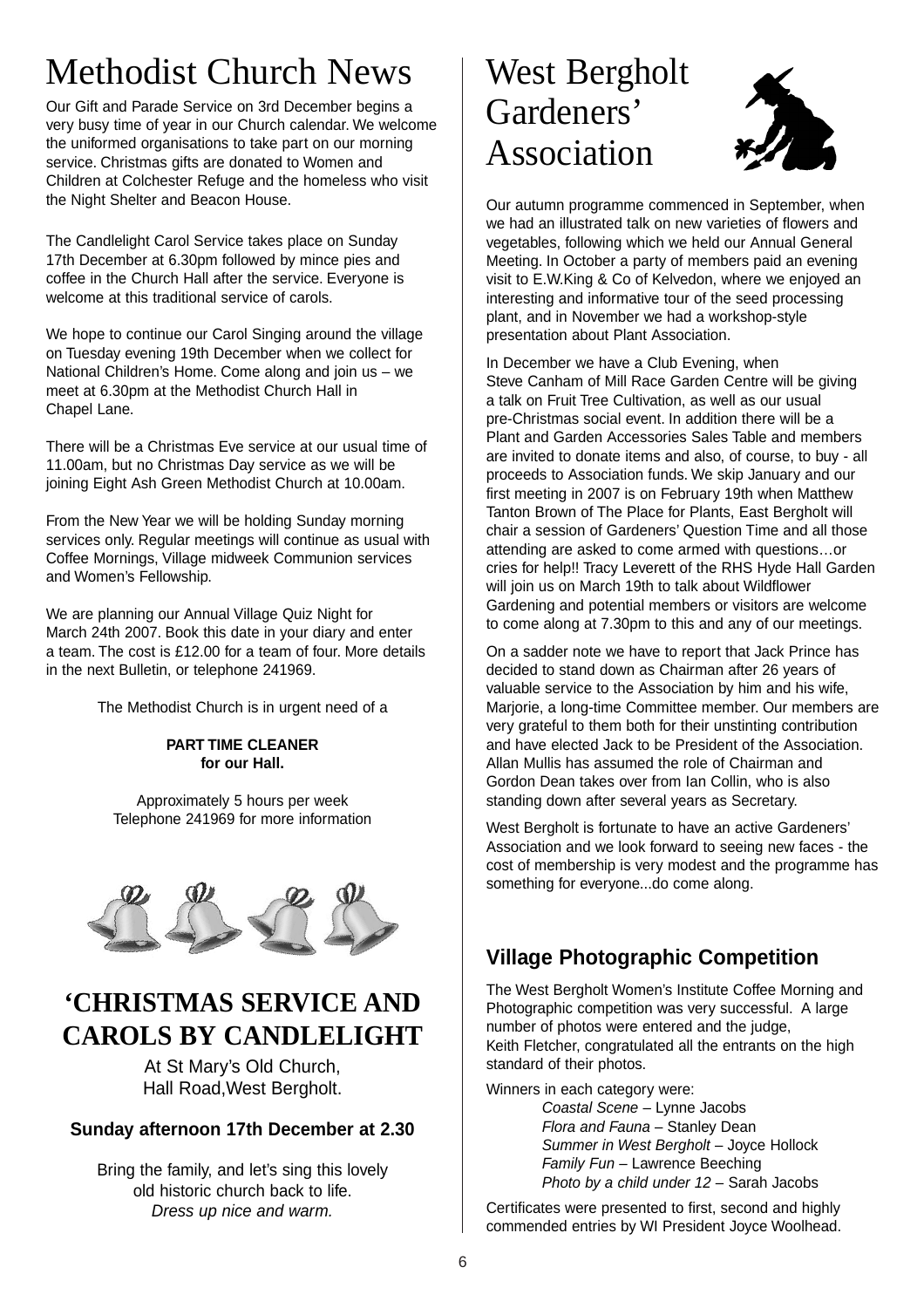# Methodist Church News

Our Gift and Parade Service on 3rd December begins a very busy time of year in our Church calendar. We welcome the uniformed organisations to take part on our morning service. Christmas gifts are donated to Women and Children at Colchester Refuge and the homeless who visit the Night Shelter and Beacon House.

The Candlelight Carol Service takes place on Sunday 17th December at 6.30pm followed by mince pies and coffee in the Church Hall after the service. Everyone is welcome at this traditional service of carols.

We hope to continue our Carol Singing around the village on Tuesday evening 19th December when we collect for National Children's Home. Come along and join us – we meet at 6.30pm at the Methodist Church Hall in Chapel Lane.

There will be a Christmas Eve service at our usual time of 11.00am, but no Christmas Day service as we will be joining Eight Ash Green Methodist Church at 10.00am.

From the New Year we will be holding Sunday morning services only. Regular meetings will continue as usual with Coffee Mornings, Village midweek Communion services and Women's Fellowship.

We are planning our Annual Village Quiz Night for March 24th 2007. Book this date in your diary and enter a team. The cost is £12.00 for a team of four. More details in the next Bulletin, or telephone 241969.

The Methodist Church is in urgent need of a

**PART TIME CLEANER for our Hall.**

Approximately 5 hours per week Telephone 241969 for more information



### **'CHRISTMAS SERVICE AND CAROLS BY CANDLELIGHT**

At St Mary's Old Church, Hall Road,West Bergholt.

#### **Sunday afternoon 17th December at 2.30**

Bring the family, and let's sing this lovely old historic church back to life. Dress up nice and warm.

### West Bergholt Gardeners' Association



Our autumn programme commenced in September, when we had an illustrated talk on new varieties of flowers and vegetables, following which we held our Annual General Meeting. In October a party of members paid an evening visit to E.W.King & Co of Kelvedon, where we enjoyed an interesting and informative tour of the seed processing plant, and in November we had a workshop-style presentation about Plant Association.

In December we have a Club Evening, when Steve Canham of Mill Race Garden Centre will be giving a talk on Fruit Tree Cultivation, as well as our usual pre-Christmas social event. In addition there will be a Plant and Garden Accessories Sales Table and members are invited to donate items and also, of course, to buy - all proceeds to Association funds. We skip January and our first meeting in 2007 is on February 19th when Matthew Tanton Brown of The Place for Plants, East Bergholt will chair a session of Gardeners' Question Time and all those attending are asked to come armed with questions…or cries for help!! Tracy Leverett of the RHS Hyde Hall Garden will join us on March 19th to talk about Wildflower Gardening and potential members or visitors are welcome to come along at 7.30pm to this and any of our meetings.

On a sadder note we have to report that Jack Prince has decided to stand down as Chairman after 26 years of valuable service to the Association by him and his wife, Marjorie, a long-time Committee member. Our members are very grateful to them both for their unstinting contribution and have elected Jack to be President of the Association. Allan Mullis has assumed the role of Chairman and Gordon Dean takes over from Ian Collin, who is also standing down after several years as Secretary.

West Bergholt is fortunate to have an active Gardeners' Association and we look forward to seeing new faces - the cost of membership is very modest and the programme has something for everyone...do come along.

#### **Village Photographic Competition**

The West Bergholt Women's Institute Coffee Morning and Photographic competition was very successful. A large number of photos were entered and the judge, Keith Fletcher, congratulated all the entrants on the high standard of their photos.

Winners in each category were:

Coastal Scene – Lynne Jacobs Flora and Fauna – Stanley Dean Summer in West Bergholt – Joyce Hollock Family Fun – Lawrence Beeching Photo by a child under 12 – Sarah Jacobs

Certificates were presented to first, second and highly commended entries by WI President Joyce Woolhead.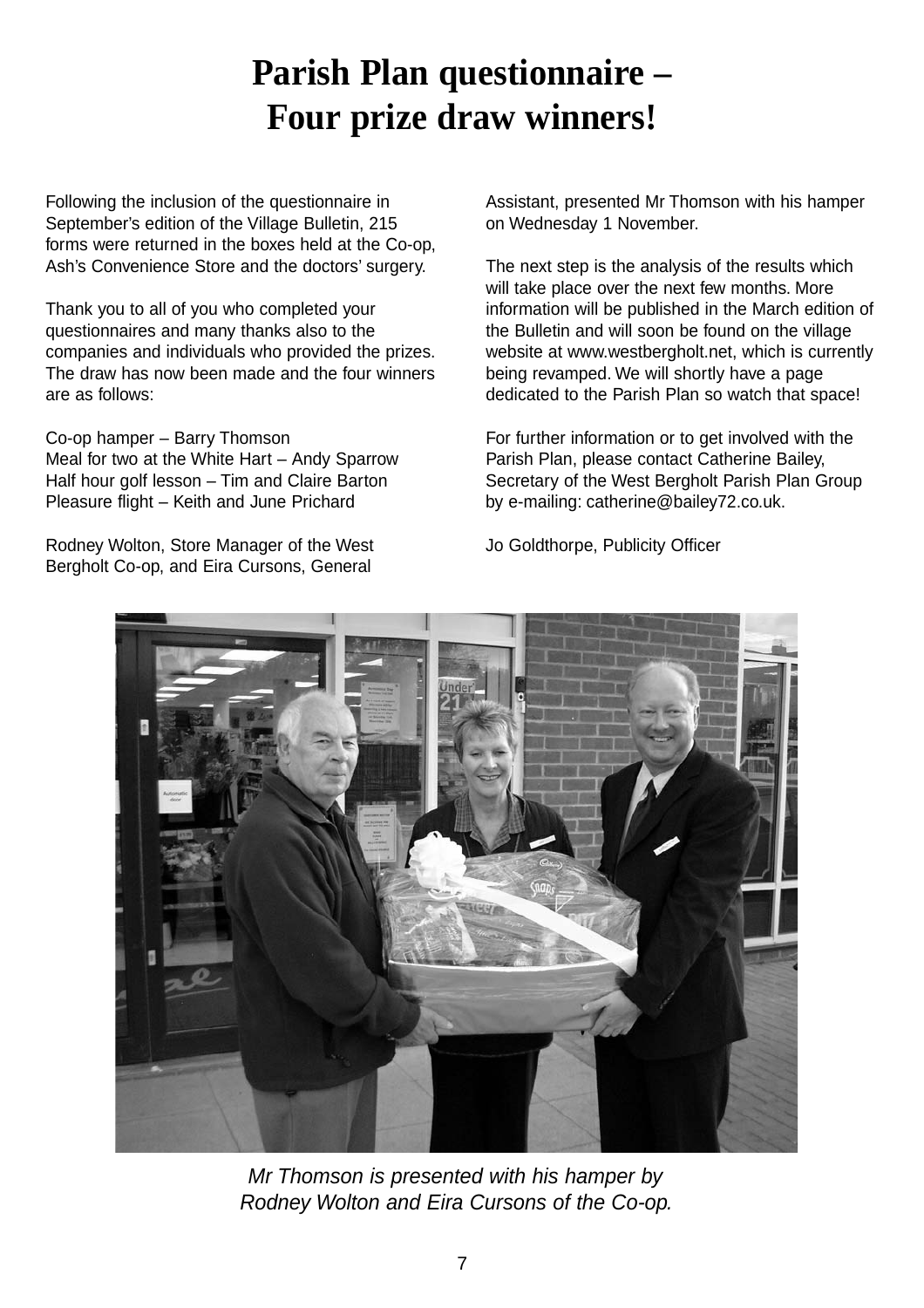## **Parish Plan questionnaire – Four prize draw winners!**

Following the inclusion of the questionnaire in September's edition of the Village Bulletin, 215 forms were returned in the boxes held at the Co-op, Ash's Convenience Store and the doctors' surgery.

Thank you to all of you who completed your questionnaires and many thanks also to the companies and individuals who provided the prizes. The draw has now been made and the four winners are as follows:

Co-op hamper – Barry Thomson Meal for two at the White Hart – Andy Sparrow Half hour golf lesson – Tim and Claire Barton Pleasure flight – Keith and June Prichard

Rodney Wolton, Store Manager of the West Bergholt Co-op, and Eira Cursons, General

Assistant, presented Mr Thomson with his hamper on Wednesday 1 November.

The next step is the analysis of the results which will take place over the next few months. More information will be published in the March edition of the Bulletin and will soon be found on the village website at www.westbergholt.net, which is currently being revamped. We will shortly have a page dedicated to the Parish Plan so watch that space!

For further information or to get involved with the Parish Plan, please contact Catherine Bailey, Secretary of the West Bergholt Parish Plan Group by e-mailing: catherine@bailey72.co.uk.

Jo Goldthorpe, Publicity Officer



Mr Thomson is presented with his hamper by Rodney Wolton and Eira Cursons of the Co-op.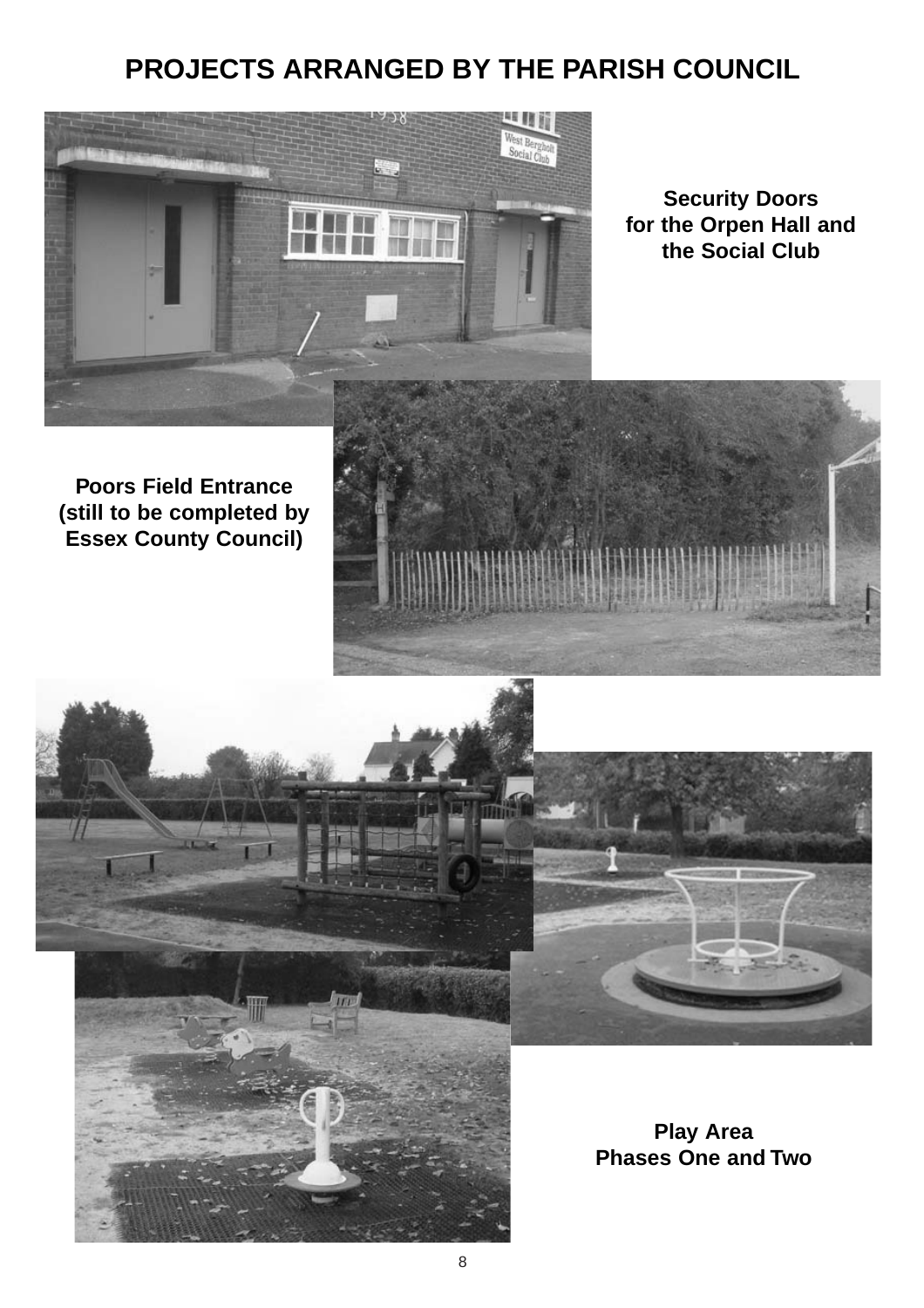### **PROJECTS ARRANGED BY THE PARISH COUNCIL**



**Security Doors for the Orpen Hall and the Social Club**

#### **Poors Field Entrance (still to be completed by Essex County Council)**





**Play Area Phases One and Two**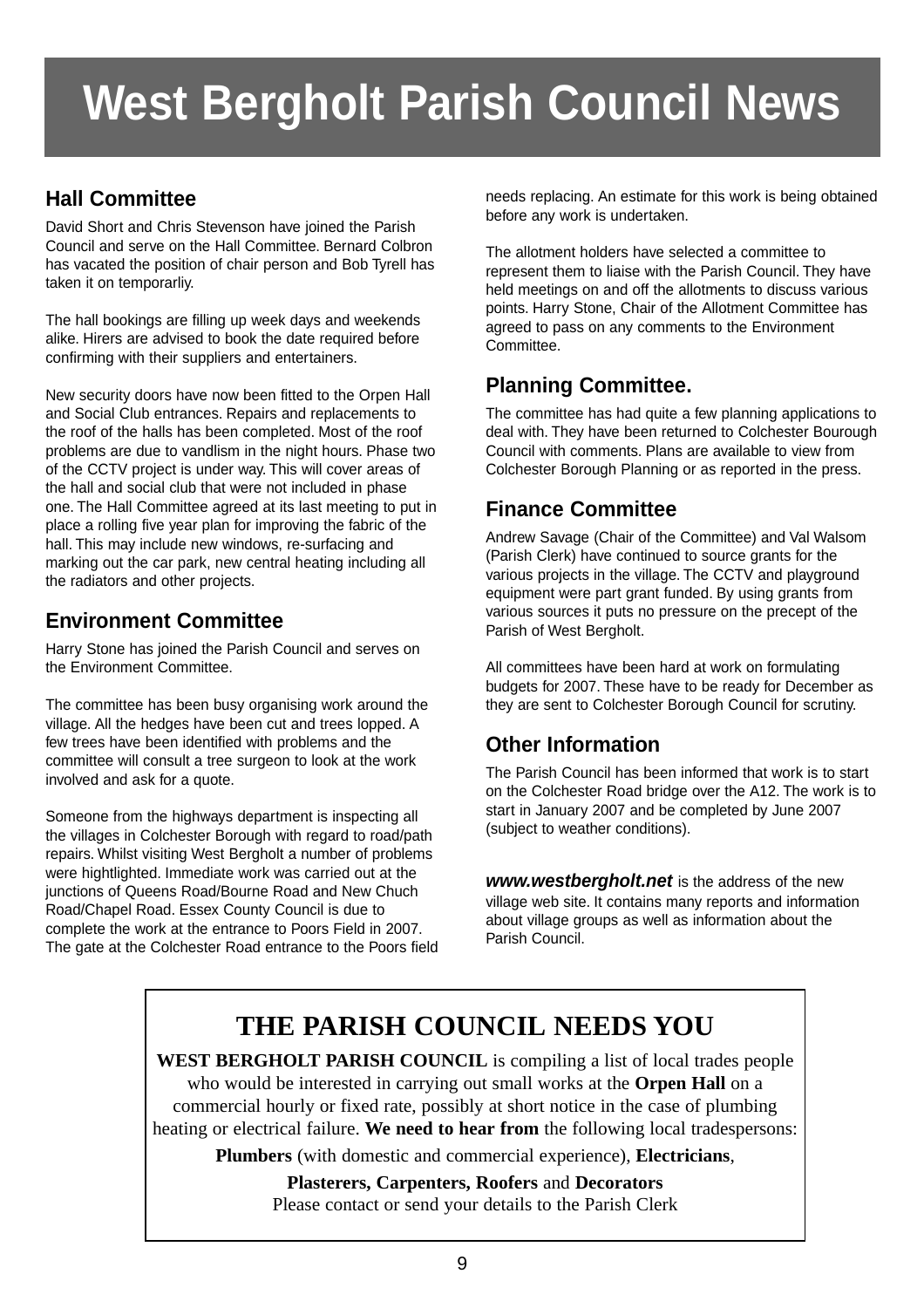# **West Bergholt Parish Council News**

#### **Hall Committee**

David Short and Chris Stevenson have joined the Parish Council and serve on the Hall Committee. Bernard Colbron has vacated the position of chair person and Bob Tyrell has taken it on temporarliy.

The hall bookings are filling up week days and weekends alike. Hirers are advised to book the date required before confirming with their suppliers and entertainers.

New security doors have now been fitted to the Orpen Hall and Social Club entrances. Repairs and replacements to the roof of the halls has been completed. Most of the roof problems are due to vandlism in the night hours. Phase two of the CCTV project is under way. This will cover areas of the hall and social club that were not included in phase one. The Hall Committee agreed at its last meeting to put in place a rolling five year plan for improving the fabric of the hall. This may include new windows, re-surfacing and marking out the car park, new central heating including all the radiators and other projects.

#### **Environment Committee**

Harry Stone has joined the Parish Council and serves on the Environment Committee.

The committee has been busy organising work around the village. All the hedges have been cut and trees lopped. A few trees have been identified with problems and the committee will consult a tree surgeon to look at the work involved and ask for a quote.

Someone from the highways department is inspecting all the villages in Colchester Borough with regard to road/path repairs. Whilst visiting West Bergholt a number of problems were hightlighted. Immediate work was carried out at the junctions of Queens Road/Bourne Road and New Chuch Road/Chapel Road. Essex County Council is due to complete the work at the entrance to Poors Field in 2007. The gate at the Colchester Road entrance to the Poors field needs replacing. An estimate for this work is being obtained before any work is undertaken.

The allotment holders have selected a committee to represent them to liaise with the Parish Council. They have held meetings on and off the allotments to discuss various points. Harry Stone, Chair of the Allotment Committee has agreed to pass on any comments to the Environment Committee.

#### **Planning Committee.**

The committee has had quite a few planning applications to deal with. They have been returned to Colchester Bourough Council with comments. Plans are available to view from Colchester Borough Planning or as reported in the press.

#### **Finance Committee**

Andrew Savage (Chair of the Committee) and Val Walsom (Parish Clerk) have continued to source grants for the various projects in the village. The CCTV and playground equipment were part grant funded. By using grants from various sources it puts no pressure on the precept of the Parish of West Bergholt.

All committees have been hard at work on formulating budgets for 2007. These have to be ready for December as they are sent to Colchester Borough Council for scrutiny.

#### **Other Information**

The Parish Council has been informed that work is to start on the Colchester Road bridge over the A12. The work is to start in January 2007 and be completed by June 2007 (subject to weather conditions).

**www.westbergholt.net** is the address of the new village web site. It contains many reports and information about village groups as well as information about the Parish Council.

### **THE PARISH COUNCIL NEEDS YOU**

**WEST BERGHOLT PARISH COUNCIL** is compiling a list of local trades people who would be interested in carrying out small works at the **Orpen Hall** on a commercial hourly or fixed rate, possibly at short notice in the case of plumbing heating or electrical failure. **We need to hear from** the following local tradespersons:

**Plumbers** (with domestic and commercial experience), **Electricians**,

**Plasterers, Carpenters, Roofers** and **Decorators** Please contact or send your details to the Parish Clerk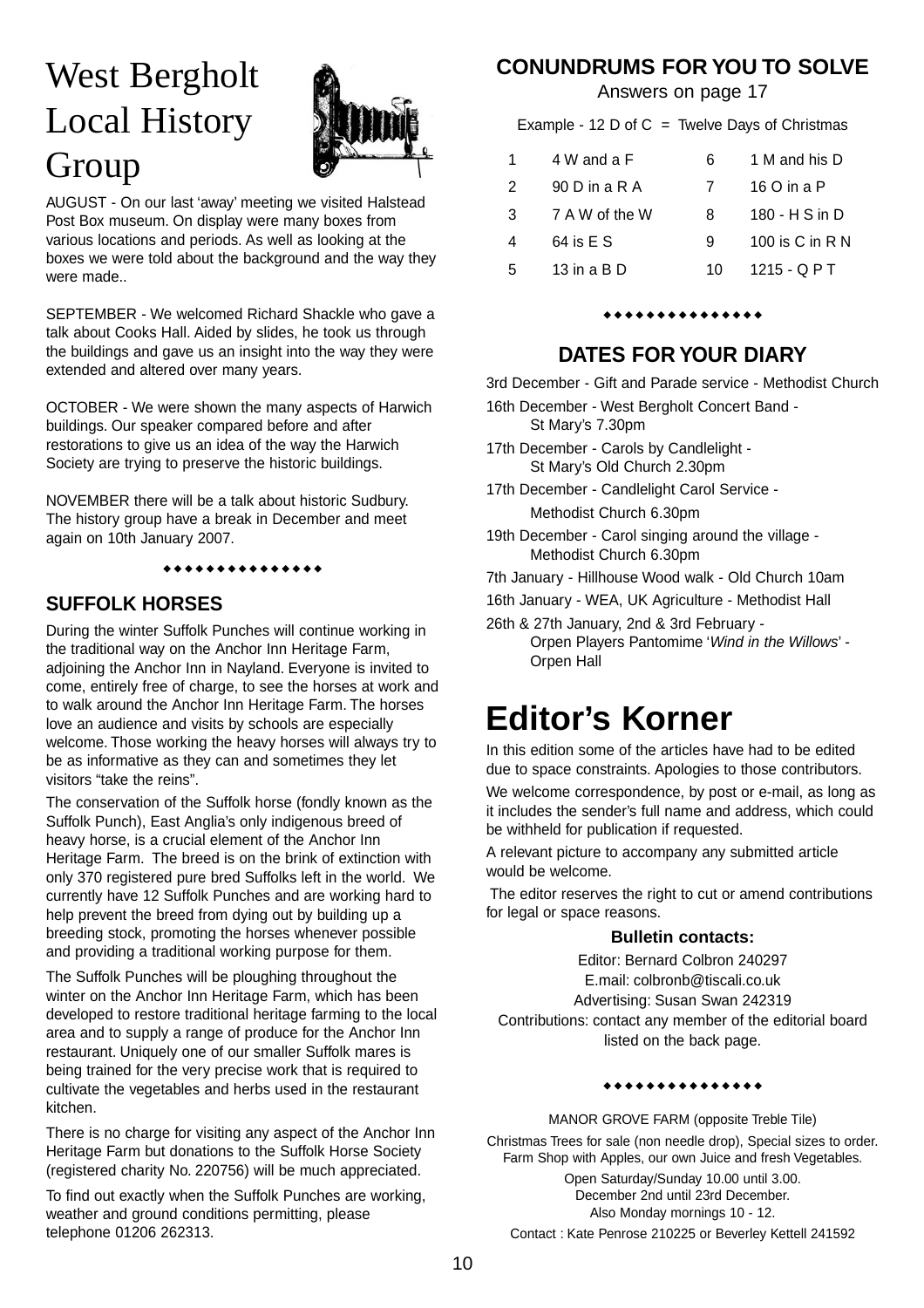# West Bergholt Local History Group



AUGUST - On our last 'away' meeting we visited Halstead Post Box museum. On display were many boxes from various locations and periods. As well as looking at the boxes we were told about the background and the way they were made..

SEPTEMBER - We welcomed Richard Shackle who gave a talk about Cooks Hall. Aided by slides, he took us through the buildings and gave us an insight into the way they were extended and altered over many years.

OCTOBER - We were shown the many aspects of Harwich buildings. Our speaker compared before and after restorations to give us an idea of the way the Harwich Society are trying to preserve the historic buildings.

NOVEMBER there will be a talk about historic Sudbury. The history group have a break in December and meet again on 10th January 2007.

### \*\*\*\*\*\*\*\*\*\*\*\*\*

#### **SUFFOLK HORSES**

During the winter Suffolk Punches will continue working in the traditional way on the Anchor Inn Heritage Farm, adjoining the Anchor Inn in Nayland. Everyone is invited to come, entirely free of charge, to see the horses at work and to walk around the Anchor Inn Heritage Farm. The horses love an audience and visits by schools are especially welcome. Those working the heavy horses will always try to be as informative as they can and sometimes they let visitors "take the reins".

The conservation of the Suffolk horse (fondly known as the Suffolk Punch), East Anglia's only indigenous breed of heavy horse, is a crucial element of the Anchor Inn Heritage Farm. The breed is on the brink of extinction with only 370 registered pure bred Suffolks left in the world. We currently have 12 Suffolk Punches and are working hard to help prevent the breed from dying out by building up a breeding stock, promoting the horses whenever possible and providing a traditional working purpose for them.

The Suffolk Punches will be ploughing throughout the winter on the Anchor Inn Heritage Farm, which has been developed to restore traditional heritage farming to the local area and to supply a range of produce for the Anchor Inn restaurant. Uniquely one of our smaller Suffolk mares is being trained for the very precise work that is required to cultivate the vegetables and herbs used in the restaurant kitchen.

There is no charge for visiting any aspect of the Anchor Inn Heritage Farm but donations to the Suffolk Horse Society (registered charity No. 220756) will be much appreciated.

To find out exactly when the Suffolk Punches are working, weather and ground conditions permitting, please telephone 01206 262313.

#### **CONUNDRUMS FOR YOU TO SOLVE**

Answers on page 17

Example - 12 D of  $C =$  Twelve Days of Christmas

| 1.            | 4 W and a F     | 6  | 1 M and his D       |
|---------------|-----------------|----|---------------------|
| $\mathcal{P}$ | 90 D in a R A   |    | 16 O in a P         |
| 3             | 7 A W of the W  | 8  | 180 - H S in D      |
| 4             | 64 is E S       | 9  | 100 is $C$ in $R N$ |
| 5             | 13 in a $B$ $D$ | 10 | $1215 - QPT$        |

#### \*\*\*\*\*\*\*\*\*\*\*\*\*

#### **DATES FOR YOUR DIARY**

3rd December - Gift and Parade service - Methodist Church

- 16th December West Bergholt Concert Band St Mary's 7.30pm
- 17th December Carols by Candlelight St Mary's Old Church 2.30pm
- 17th December Candlelight Carol Service Methodist Church 6.30pm
- 19th December Carol singing around the village Methodist Church 6.30pm
- 7th January Hillhouse Wood walk Old Church 10am
- 16th January WEA, UK Agriculture Methodist Hall
- 26th & 27th January, 2nd & 3rd February Orpen Players Pantomime 'Wind in the Willows' - Orpen Hall

### **Editor's Korner**

In this edition some of the articles have had to be edited due to space constraints. Apologies to those contributors.

We welcome correspondence, by post or e-mail, as long as it includes the sender's full name and address, which could be withheld for publication if requested.

A relevant picture to accompany any submitted article would be welcome.

The editor reserves the right to cut or amend contributions for legal or space reasons.

#### **Bulletin contacts:**

Editor: Bernard Colbron 240297 E.mail: colbronb@tiscali.co.uk Advertising: Susan Swan 242319 Contributions: contact any member of the editorial board listed on the back page.

#### \*\*\*\*\*\*\*\*\*\*\*\*\*

MANOR GROVE FARM (opposite Treble Tile) Christmas Trees for sale (non needle drop), Special sizes to order. Farm Shop with Apples, our own Juice and fresh Vegetables.

Open Saturday/Sunday 10.00 until 3.00. December 2nd until 23rd December. Also Monday mornings 10 - 12. Contact : Kate Penrose 210225 or Beverley Kettell 241592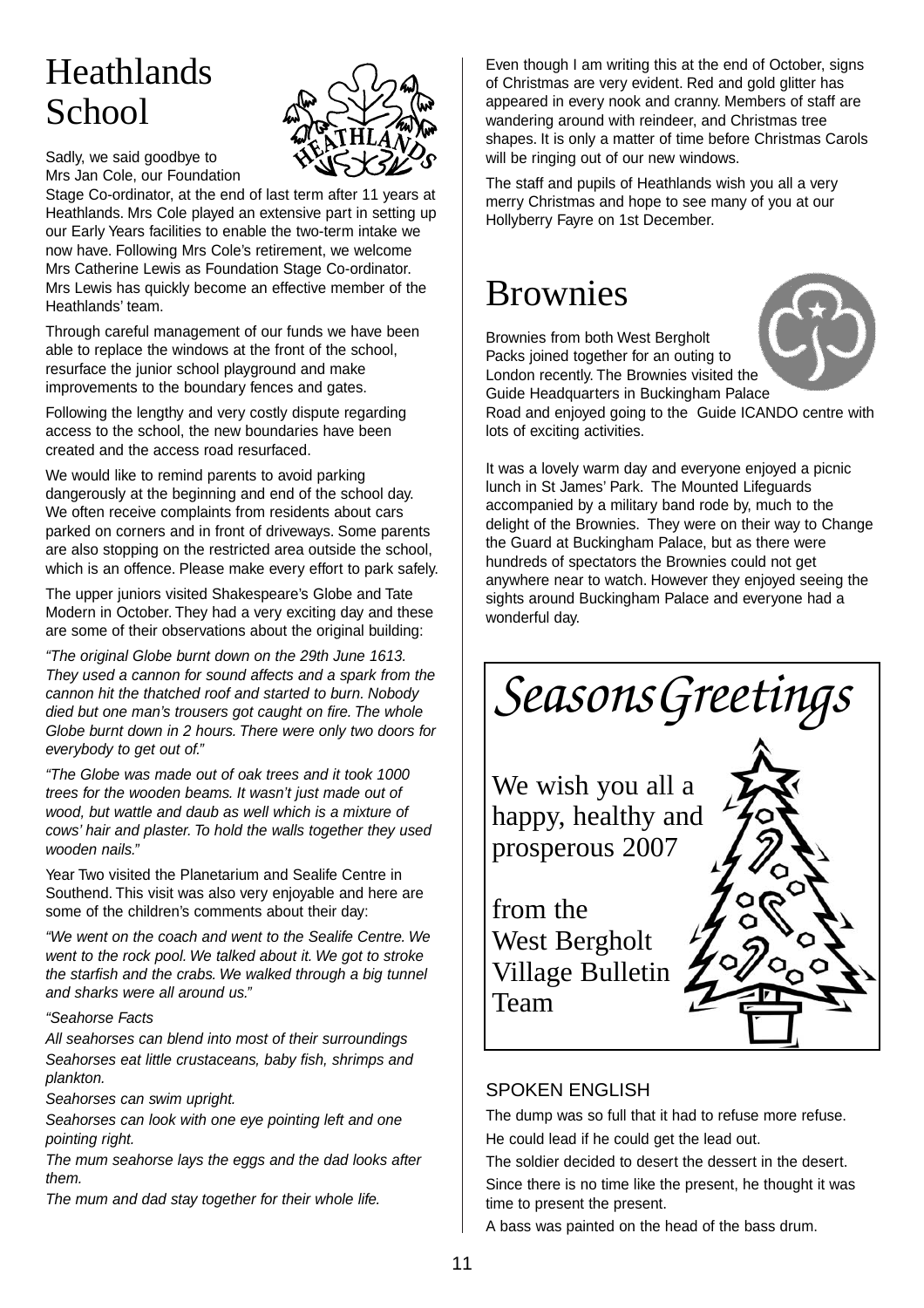# Heathlands School



Sadly, we said goodbye to Mrs Jan Cole, our Foundation

Stage Co-ordinator, at the end of last term after 11 years at Heathlands. Mrs Cole played an extensive part in setting up our Early Years facilities to enable the two-term intake we now have. Following Mrs Cole's retirement, we welcome Mrs Catherine Lewis as Foundation Stage Co-ordinator. Mrs Lewis has quickly become an effective member of the Heathlands' team.

Through careful management of our funds we have been able to replace the windows at the front of the school, resurface the junior school playground and make improvements to the boundary fences and gates.

Following the lengthy and very costly dispute regarding access to the school, the new boundaries have been created and the access road resurfaced.

We would like to remind parents to avoid parking dangerously at the beginning and end of the school day. We often receive complaints from residents about cars parked on corners and in front of driveways. Some parents are also stopping on the restricted area outside the school, which is an offence. Please make every effort to park safely.

The upper juniors visited Shakespeare's Globe and Tate Modern in October. They had a very exciting day and these are some of their observations about the original building:

"The original Globe burnt down on the 29th June 1613. They used a cannon for sound affects and a spark from the cannon hit the thatched roof and started to burn. Nobody died but one man's trousers got caught on fire. The whole Globe burnt down in 2 hours. There were only two doors for everybody to get out of."

"The Globe was made out of oak trees and it took 1000 trees for the wooden beams. It wasn't just made out of wood, but wattle and daub as well which is a mixture of cows' hair and plaster. To hold the walls together they used wooden nails."

Year Two visited the Planetarium and Sealife Centre in Southend. This visit was also very enjoyable and here are some of the children's comments about their day:

"We went on the coach and went to the Sealife Centre. We went to the rock pool. We talked about it. We got to stroke the starfish and the crabs. We walked through a big tunnel and sharks were all around us."

#### "Seahorse Facts

All seahorses can blend into most of their surroundings Seahorses eat little crustaceans, baby fish, shrimps and plankton.

Seahorses can swim upright.

Seahorses can look with one eve pointing left and one pointing right.

The mum seahorse lays the eggs and the dad looks after them.

The mum and dad stay together for their whole life.

Even though I am writing this at the end of October, signs of Christmas are very evident. Red and gold glitter has appeared in every nook and cranny. Members of staff are wandering around with reindeer, and Christmas tree shapes. It is only a matter of time before Christmas Carols will be ringing out of our new windows.

The staff and pupils of Heathlands wish you all a very merry Christmas and hope to see many of you at our Hollyberry Fayre on 1st December.

### Brownies

Brownies from both West Bergholt



Packs joined together for an outing to London recently. The Brownies visited the Guide Headquarters in Buckingham Palace Road and enjoyed going to the Guide ICANDO centre with lots of exciting activities.

It was a lovely warm day and everyone enjoyed a picnic lunch in St James' Park. The Mounted Lifeguards accompanied by a military band rode by, much to the delight of the Brownies. They were on their way to Change the Guard at Buckingham Palace, but as there were hundreds of spectators the Brownies could not get anywhere near to watch. However they enjoyed seeing the sights around Buckingham Palace and everyone had a wonderful day.





Team

#### SPOKEN ENGLISH

The dump was so full that it had to refuse more refuse. He could lead if he could get the lead out.

The soldier decided to desert the dessert in the desert. Since there is no time like the present, he thought it was time to present the present.

A bass was painted on the head of the bass drum.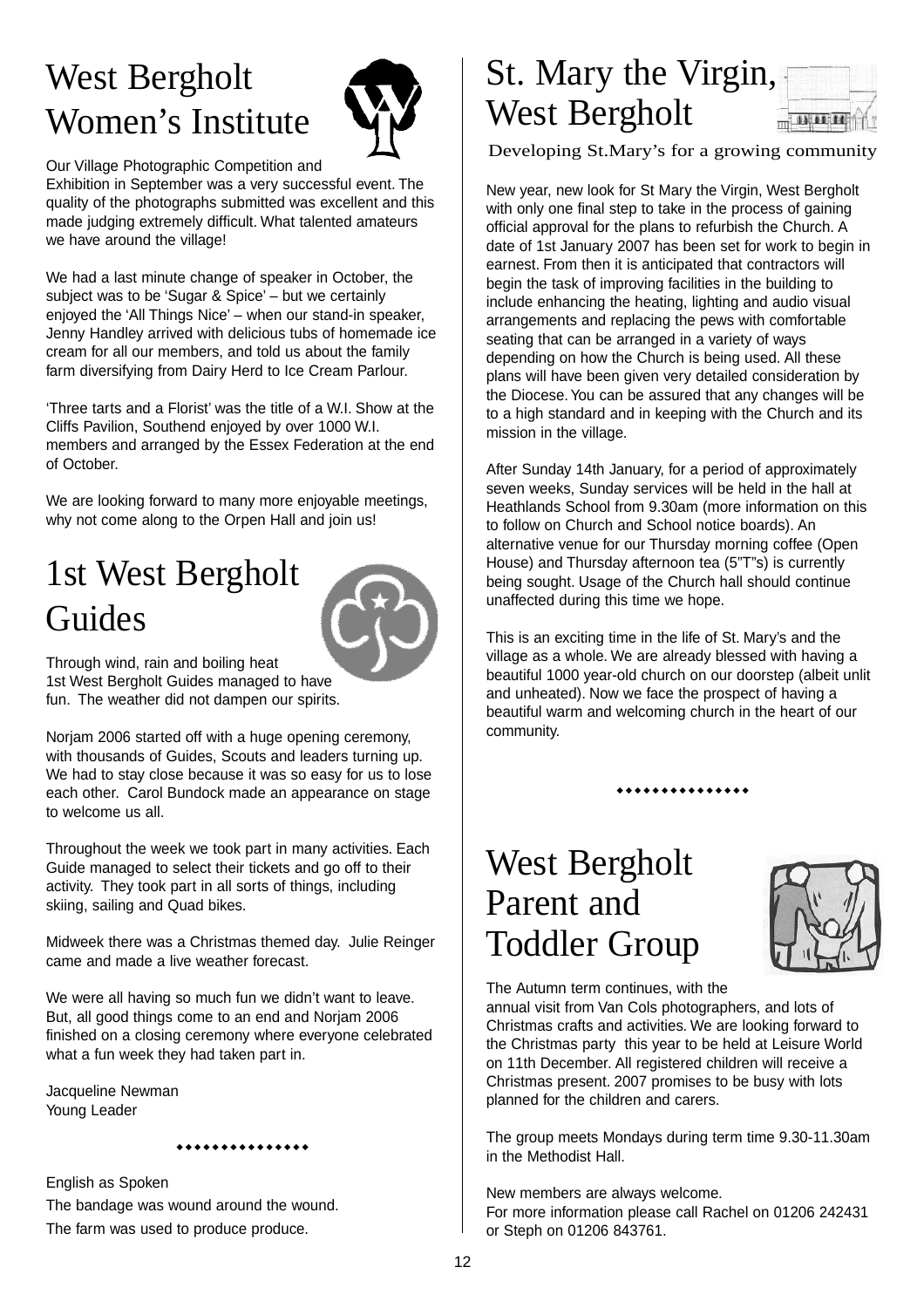# West Bergholt Women's Institute



Our Village Photographic Competition and

Exhibition in September was a very successful event. The quality of the photographs submitted was excellent and this made judging extremely difficult. What talented amateurs we have around the village!

We had a last minute change of speaker in October, the subject was to be 'Sugar & Spice' – but we certainly enjoyed the 'All Things Nice' – when our stand-in speaker, Jenny Handley arrived with delicious tubs of homemade ice cream for all our members, and told us about the family farm diversifying from Dairy Herd to Ice Cream Parlour.

'Three tarts and a Florist' was the title of a W.I. Show at the Cliffs Pavilion, Southend enjoyed by over 1000 W.I. members and arranged by the Essex Federation at the end of October.

We are looking forward to many more enjoyable meetings, why not come along to the Orpen Hall and join us!

# 1st West Bergholt Guides



Through wind, rain and boiling heat 1st West Bergholt Guides managed to have fun. The weather did not dampen our spirits.

Norjam 2006 started off with a huge opening ceremony, with thousands of Guides, Scouts and leaders turning up. We had to stay close because it was so easy for us to lose each other. Carol Bundock made an appearance on stage to welcome us all.

Throughout the week we took part in many activities. Each Guide managed to select their tickets and go off to their activity. They took part in all sorts of things, including skiing, sailing and Quad bikes.

Midweek there was a Christmas themed day. Julie Reinger came and made a live weather forecast.

We were all having so much fun we didn't want to leave. But, all good things come to an end and Norjam 2006 finished on a closing ceremony where everyone celebrated what a fun week they had taken part in.

Jacqueline Newman Young Leader

> $\bullet$ \*\*\*\*\*\*\*\*\*\*\*\*\*

English as Spoken The bandage was wound around the wound. The farm was used to produce produce.

#### St. Mary the Virgin, West Bergholt  $\frac{1}{2}$

Developing St.Mary's for a growing community

New year, new look for St Mary the Virgin, West Bergholt with only one final step to take in the process of gaining official approval for the plans to refurbish the Church. A date of 1st January 2007 has been set for work to begin in earnest. From then it is anticipated that contractors will begin the task of improving facilities in the building to include enhancing the heating, lighting and audio visual arrangements and replacing the pews with comfortable seating that can be arranged in a variety of ways depending on how the Church is being used. All these plans will have been given very detailed consideration by the Diocese. You can be assured that any changes will be to a high standard and in keeping with the Church and its mission in the village.

After Sunday 14th January, for a period of approximately seven weeks, Sunday services will be held in the hall at Heathlands School from 9.30am (more information on this to follow on Church and School notice boards). An alternative venue for our Thursday morning coffee (Open House) and Thursday afternoon tea (5"T"s) is currently being sought. Usage of the Church hall should continue unaffected during this time we hope.

This is an exciting time in the life of St. Mary's and the village as a whole. We are already blessed with having a beautiful 1000 year-old church on our doorstep (albeit unlit and unheated). Now we face the prospect of having a beautiful warm and welcoming church in the heart of our community.

\*\*\*\*\*\*\*\*\*\*\*\*\*

## West Bergholt Parent and Toddler Group



The Autumn term continues, with the

annual visit from Van Cols photographers, and lots of Christmas crafts and activities. We are looking forward to the Christmas party this year to be held at Leisure World on 11th December. All registered children will receive a Christmas present. 2007 promises to be busy with lots planned for the children and carers.

The group meets Mondays during term time 9.30-11.30am in the Methodist Hall.

New members are always welcome. For more information please call Rachel on 01206 242431 or Steph on 01206 843761.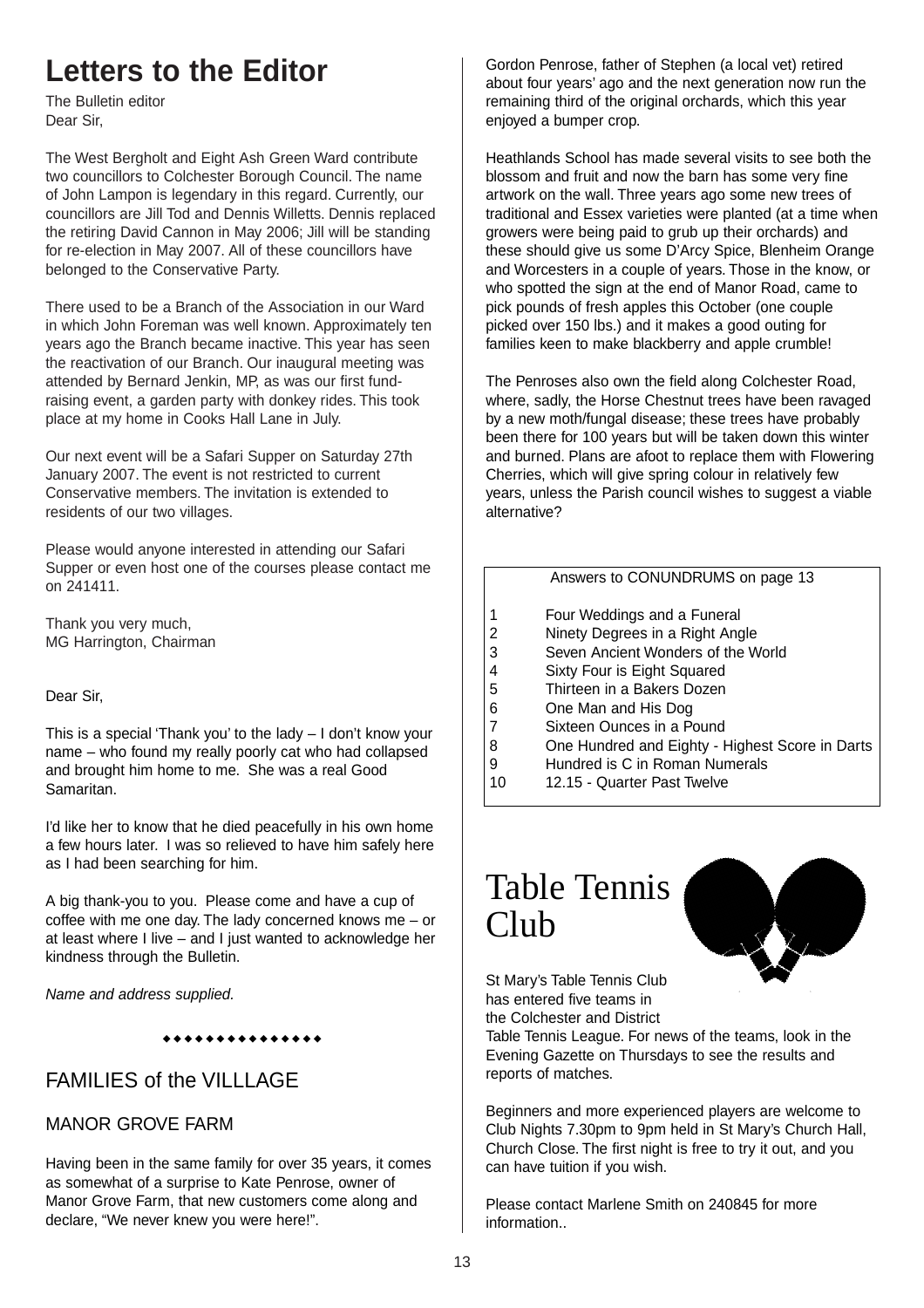### **Letters to the Editor**

The Bulletin editor Dear Sir,

The West Bergholt and Eight Ash Green Ward contribute two councillors to Colchester Borough Council. The name of John Lampon is legendary in this regard. Currently, our councillors are Jill Tod and Dennis Willetts. Dennis replaced the retiring David Cannon in May 2006; Jill will be standing for re-election in May 2007. All of these councillors have belonged to the Conservative Party.

There used to be a Branch of the Association in our Ward in which John Foreman was well known. Approximately ten years ago the Branch became inactive. This year has seen the reactivation of our Branch. Our inaugural meeting was attended by Bernard Jenkin, MP, as was our first fundraising event, a garden party with donkey rides. This took place at my home in Cooks Hall Lane in July.

Our next event will be a Safari Supper on Saturday 27th January 2007. The event is not restricted to current Conservative members. The invitation is extended to residents of our two villages.

Please would anyone interested in attending our Safari Supper or even host one of the courses please contact me on 241411.

Thank you very much, MG Harrington, Chairman

Dear Sir,

This is a special 'Thank you' to the lady – I don't know your name – who found my really poorly cat who had collapsed and brought him home to me. She was a real Good Samaritan.

I'd like her to know that he died peacefully in his own home a few hours later. I was so relieved to have him safely here as I had been searching for him.

A big thank-you to you. Please come and have a cup of coffee with me one day. The lady concerned knows me – or at least where I live – and I just wanted to acknowledge her kindness through the Bulletin.

Name and address supplied.

#### \*\*\*\*\*\*\*\*\*\*\*\*\*

#### FAMILIES of the VILLLAGE

#### MANOR GROVE FARM

Having been in the same family for over 35 years, it comes as somewhat of a surprise to Kate Penrose, owner of Manor Grove Farm, that new customers come along and declare, "We never knew you were here!".

Gordon Penrose, father of Stephen (a local vet) retired about four years' ago and the next generation now run the remaining third of the original orchards, which this year enjoyed a bumper crop.

Heathlands School has made several visits to see both the blossom and fruit and now the barn has some very fine artwork on the wall. Three years ago some new trees of traditional and Essex varieties were planted (at a time when growers were being paid to grub up their orchards) and these should give us some D'Arcy Spice, Blenheim Orange and Worcesters in a couple of years. Those in the know, or who spotted the sign at the end of Manor Road, came to pick pounds of fresh apples this October (one couple picked over 150 lbs.) and it makes a good outing for families keen to make blackberry and apple crumble!

The Penroses also own the field along Colchester Road, where, sadly, the Horse Chestnut trees have been ravaged by a new moth/fungal disease; these trees have probably been there for 100 years but will be taken down this winter and burned. Plans are afoot to replace them with Flowering Cherries, which will give spring colour in relatively few years, unless the Parish council wishes to suggest a viable alternative?

#### Answers to CONUNDRUMS on page 13

- 1 Four Weddings and a Funeral
- 2 Ninety Degrees in a Right Angle
- 3 Seven Ancient Wonders of the World
- 4 Sixty Four is Eight Squared
- 5 Thirteen in a Bakers Dozen
- 6 One Man and His Dog
- Sixteen Ounces in a Pound
- 8 One Hundred and Eighty Highest Score in Darts
- 9 Hundred is C in Roman Numerals
- 10 12.15 Quarter Past Twelve

# Table Tennis Club



St Mary's Table Tennis Club has entered five teams in the Colchester and District

Table Tennis League. For news of the teams, look in the Evening Gazette on Thursdays to see the results and reports of matches.

Beginners and more experienced players are welcome to Club Nights 7.30pm to 9pm held in St Mary's Church Hall, Church Close. The first night is free to try it out, and you can have tuition if you wish.

Please contact Marlene Smith on 240845 for more information..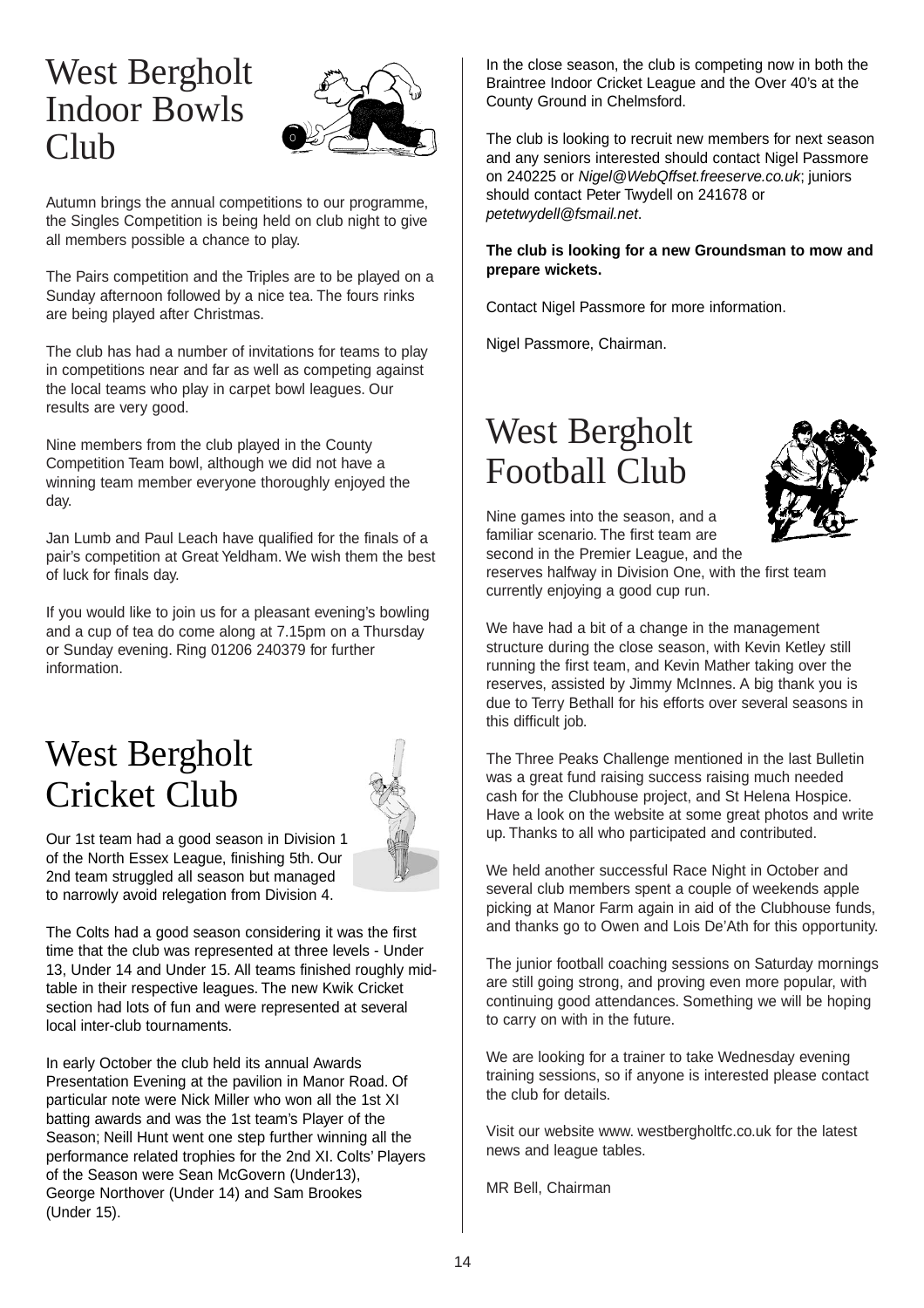### West Bergholt Indoor Bowls Club



Autumn brings the annual competitions to our programme, the Singles Competition is being held on club night to give all members possible a chance to play.

The Pairs competition and the Triples are to be played on a Sunday afternoon followed by a nice tea. The fours rinks are being played after Christmas.

The club has had a number of invitations for teams to play in competitions near and far as well as competing against the local teams who play in carpet bowl leagues. Our results are very good.

Nine members from the club played in the County Competition Team bowl, although we did not have a winning team member everyone thoroughly enjoyed the day.

Jan Lumb and Paul Leach have qualified for the finals of a pair's competition at Great Yeldham. We wish them the best of luck for finals day.

If you would like to join us for a pleasant evening's bowling and a cup of tea do come along at 7.15pm on a Thursday or Sunday evening. Ring 01206 240379 for further information.

## West Bergholt Cricket Club



Our 1st team had a good season in Division 1 of the North Essex League, finishing 5th. Our 2nd team struggled all season but managed to narrowly avoid relegation from Division 4.

The Colts had a good season considering it was the first time that the club was represented at three levels - Under 13, Under 14 and Under 15. All teams finished roughly midtable in their respective leagues. The new Kwik Cricket section had lots of fun and were represented at several local inter-club tournaments.

In early October the club held its annual Awards Presentation Evening at the pavilion in Manor Road. Of particular note were Nick Miller who won all the 1st XI batting awards and was the 1st team's Player of the Season; Neill Hunt went one step further winning all the performance related trophies for the 2nd XI. Colts' Players of the Season were Sean McGovern (Under13), George Northover (Under 14) and Sam Brookes (Under 15).

In the close season, the club is competing now in both the Braintree Indoor Cricket League and the Over 40's at the County Ground in Chelmsford.

The club is looking to recruit new members for next season and any seniors interested should contact Nigel Passmore on 240225 or Nigel@WebQffset.freeserve.co.uk; juniors should contact Peter Twydell on 241678 or petetwydell@fsmail.net.

#### **The club is looking for a new Groundsman to mow and prepare wickets.**

Contact Nigel Passmore for more information.

Nigel Passmore, Chairman.

## West Bergholt Football Club



Nine games into the season, and a familiar scenario. The first team are second in the Premier League, and the reserves halfway in Division One, with the first team currently enjoying a good cup run.

We have had a bit of a change in the management structure during the close season, with Kevin Ketley still running the first team, and Kevin Mather taking over the reserves, assisted by Jimmy McInnes. A big thank you is due to Terry Bethall for his efforts over several seasons in this difficult job.

The Three Peaks Challenge mentioned in the last Bulletin was a great fund raising success raising much needed cash for the Clubhouse project, and St Helena Hospice. Have a look on the website at some great photos and write up. Thanks to all who participated and contributed.

We held another successful Race Night in October and several club members spent a couple of weekends apple picking at Manor Farm again in aid of the Clubhouse funds, and thanks go to Owen and Lois De'Ath for this opportunity.

The junior football coaching sessions on Saturday mornings are still going strong, and proving even more popular, with continuing good attendances. Something we will be hoping to carry on with in the future.

We are looking for a trainer to take Wednesday evening training sessions, so if anyone is interested please contact the club for details.

Visit our website www. westbergholtfc.co.uk for the latest news and league tables.

MR Bell, Chairman